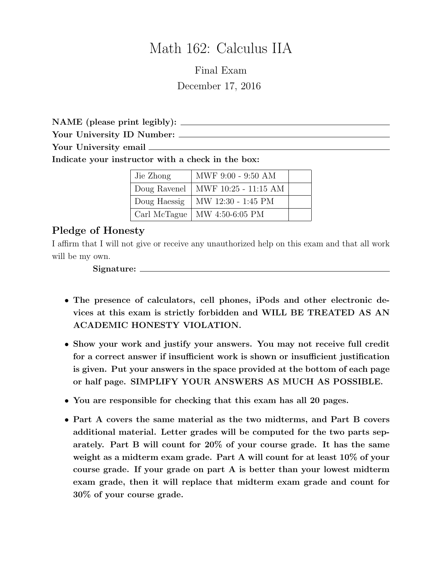# Math 162: Calculus IIA

Final Exam December 17, 2016

NAME (please print legibly):

Your University ID Number:

Your University email

Indicate your instructor with a check in the box:

| Jie Zhong    | MWF 9:00 - 9:50 AM   |  |
|--------------|----------------------|--|
| Doug Ravenel | MWF 10:25 - 11:15 AM |  |
| Doug Haessig | MW 12:30 - 1:45 PM   |  |
| Carl McTague | MW 4:50-6:05 PM      |  |

### Pledge of Honesty

I affirm that I will not give or receive any unauthorized help on this exam and that all work will be my own.

Signature:

- The presence of calculators, cell phones, iPods and other electronic devices at this exam is strictly forbidden and WILL BE TREATED AS AN ACADEMIC HONESTY VIOLATION.
- Show your work and justify your answers. You may not receive full credit for a correct answer if insufficient work is shown or insufficient justification is given. Put your answers in the space provided at the bottom of each page or half page. SIMPLIFY YOUR ANSWERS AS MUCH AS POSSIBLE.
- You are responsible for checking that this exam has all 20 pages.
- Part A covers the same material as the two midterms, and Part B covers additional material. Letter grades will be computed for the two parts separately. Part B will count for 20% of your course grade. It has the same weight as a midterm exam grade. Part A will count for at least 10% of your course grade. If your grade on part A is better than your lowest midterm exam grade, then it will replace that midterm exam grade and count for 30% of your course grade.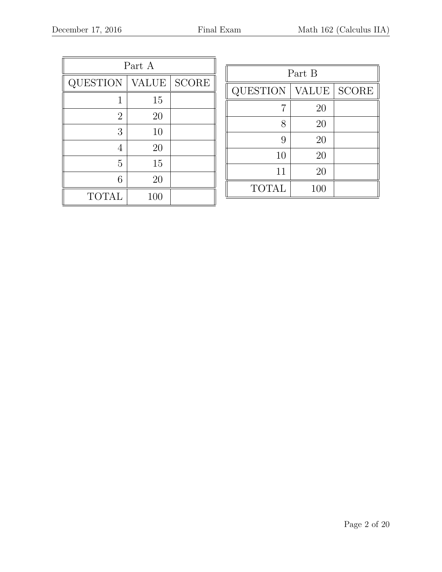| Part A         |              |              |  |  |
|----------------|--------------|--------------|--|--|
| QUESTION       | <b>VALUE</b> | <b>SCORE</b> |  |  |
| 1              | 15           |              |  |  |
| $\overline{2}$ | 20           |              |  |  |
| 3              | 10           |              |  |  |
| 4              | 20           |              |  |  |
| 5              | 15           |              |  |  |
| 6              | 20           |              |  |  |
| <b>TOTAL</b>   | 100          |              |  |  |

| Part B          |              |              |  |  |
|-----------------|--------------|--------------|--|--|
| <b>QUESTION</b> | <b>VALUE</b> | <b>SCORE</b> |  |  |
| 7               | 20           |              |  |  |
| 8               | 20           |              |  |  |
| 9               | 20           |              |  |  |
| 10              | 20           |              |  |  |
| 11              | 20           |              |  |  |
| <b>TOTAL</b>    | 100          |              |  |  |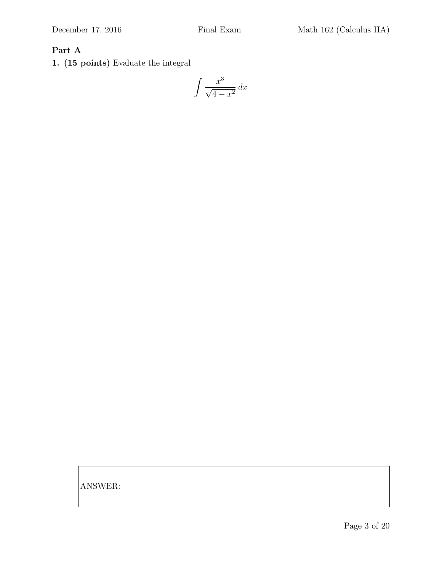# Part A

1. (15 points) Evaluate the integral

$$
\int \frac{x^3}{\sqrt{4 - x^2}} dx
$$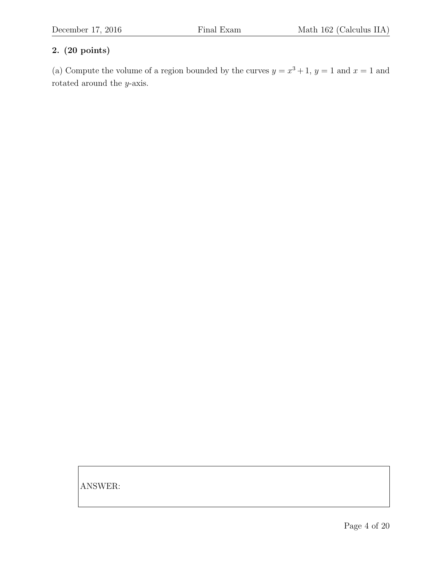(a) Compute the volume of a region bounded by the curves  $y = x^3 + 1$ ,  $y = 1$  and  $x = 1$  and rotated around the y-axis.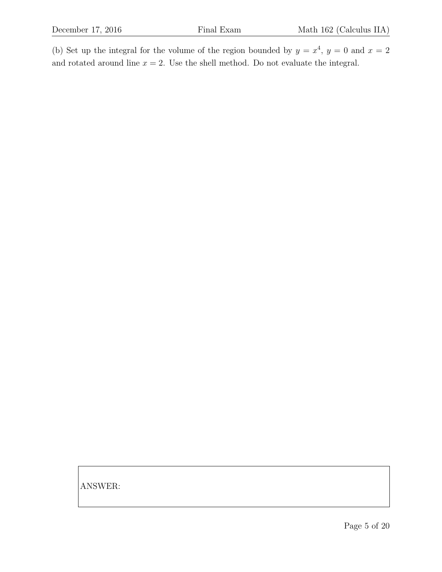(b) Set up the integral for the volume of the region bounded by  $y = x^4$ ,  $y = 0$  and  $x = 2$ and rotated around line  $x = 2$ . Use the shell method. Do not evaluate the integral.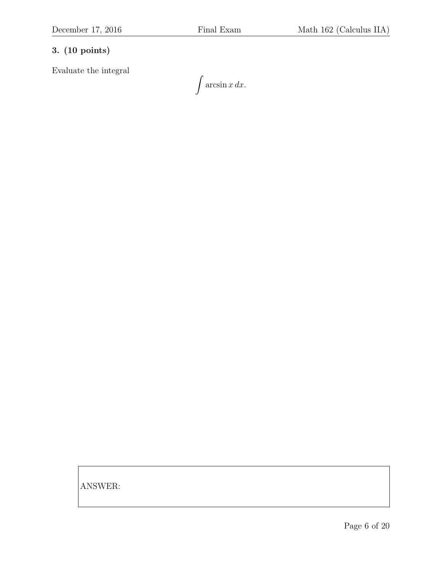Evaluate the integral

 $\int \arcsin x dx$ .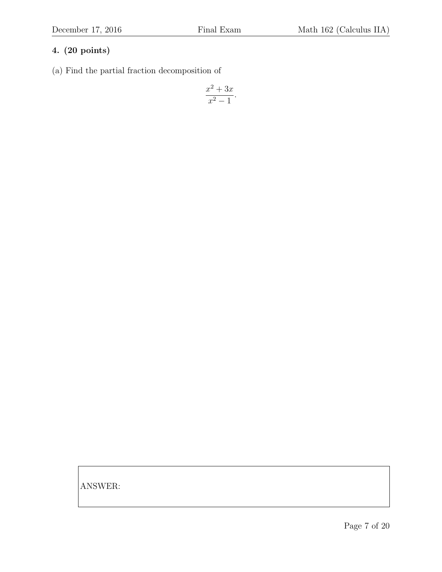(a) Find the partial fraction decomposition of

$$
\frac{x^2 + 3x}{x^2 - 1}.
$$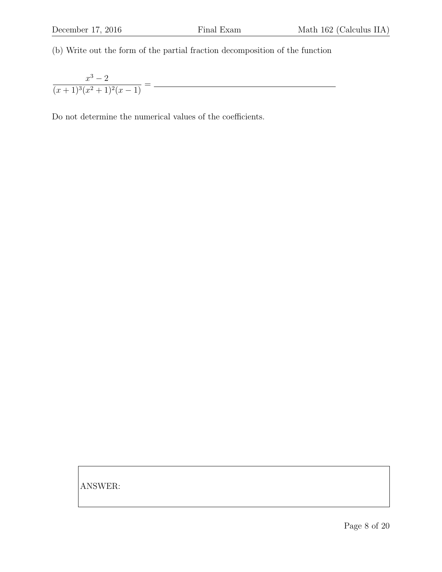(b) Write out the form of the partial fraction decomposition of the function

 $x^3-2$  $\frac{x}{(x+1)^3(x^2+1)^2(x-1)} =$ 

Do not determine the numerical values of the coefficients.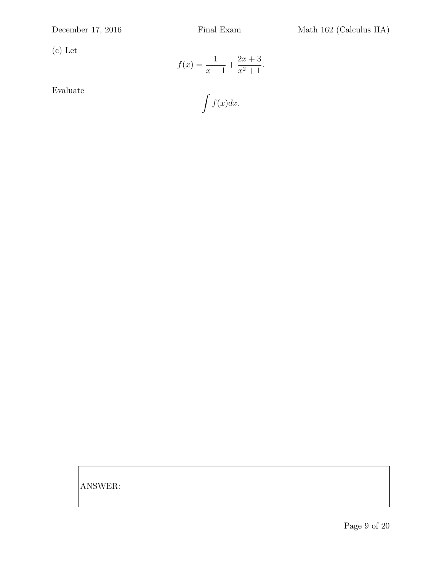(c) Let

$$
f(x) = \frac{1}{x-1} + \frac{2x+3}{x^2+1}.
$$

Evaluate

$$
\int f(x)dx.
$$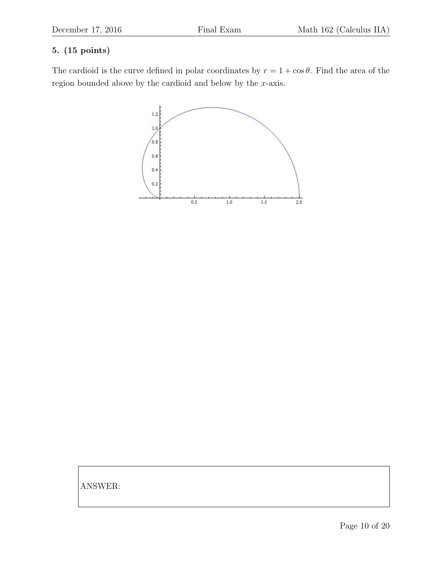# 5. (15 points)

The cardioid is the curve defined in polar coordinates by  $r = 1 + \cos \theta$ . Find the area of the region bounded above by the cardioid and below by the x-axis.

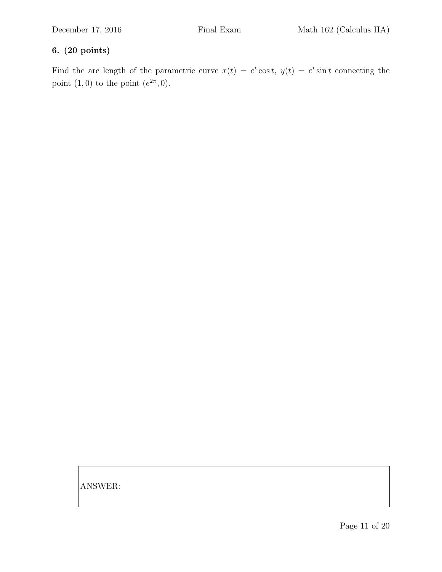Find the arc length of the parametric curve  $x(t) = e^t \cos t$ ,  $y(t) = e^t \sin t$  connecting the point  $(1,0)$  to the point  $(e^{2\pi},0)$ .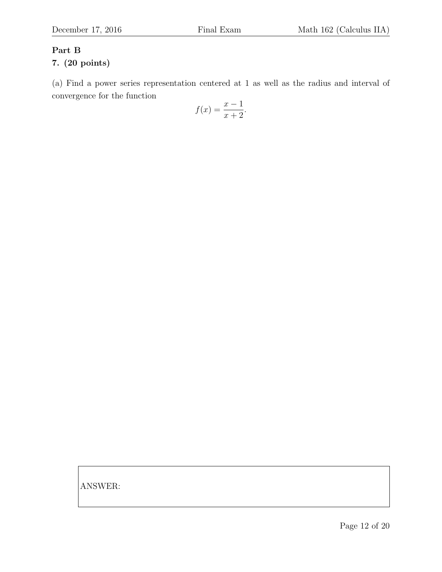# Part B

## 7. (20 points)

(a) Find a power series representation centered at 1 as well as the radius and interval of convergence for the function

$$
f(x) = \frac{x-1}{x+2}.
$$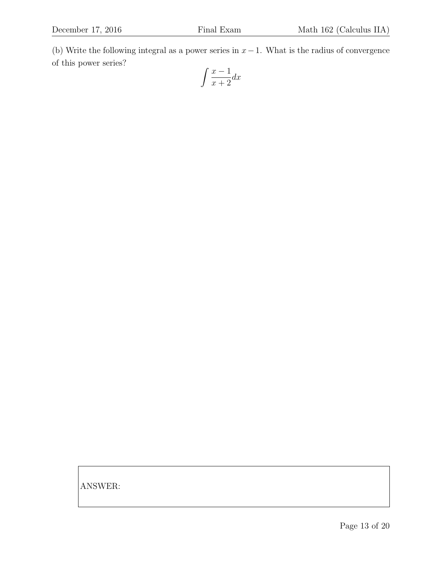(b) Write the following integral as a power series in  $x-1$ . What is the radius of convergence of this power series?

$$
\int \frac{x-1}{x+2} dx
$$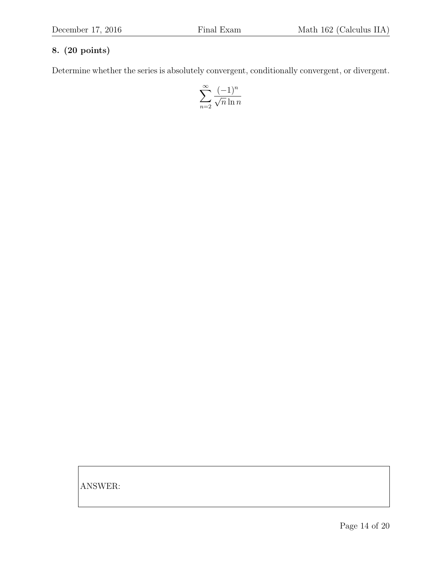Determine whether the series is absolutely convergent, conditionally convergent, or divergent.

$$
\sum_{n=2}^{\infty} \frac{(-1)^n}{\sqrt{n} \ln n}
$$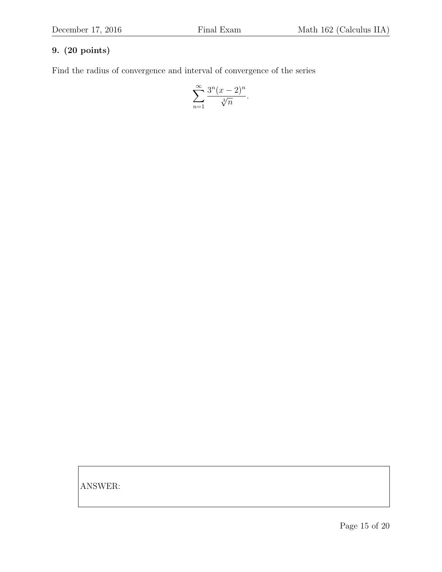Find the radius of convergence and interval of convergence of the series

$$
\sum_{n=1}^{\infty} \frac{3^n (x-2)^n}{\sqrt[3]{n}}.
$$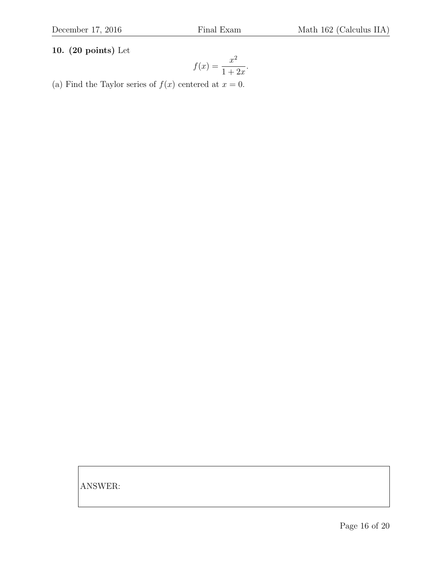# 10. (20 points) Let

$$
f(x) = \frac{x^2}{1 + 2x}.
$$

(a) Find the Taylor series of  $f(x)$  centered at  $x = 0$ .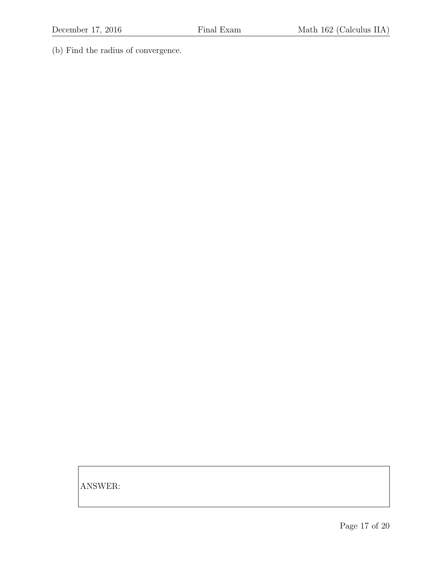(b) Find the radius of convergence.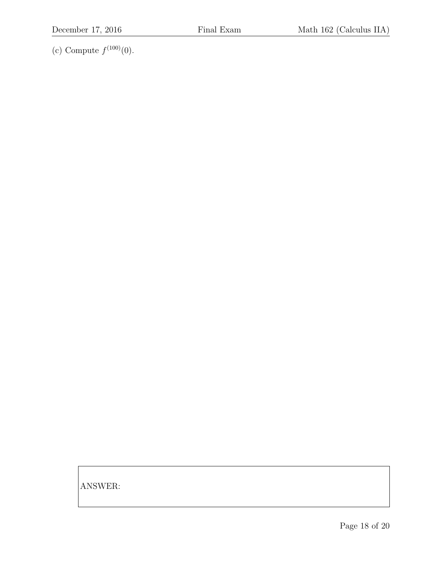(c) Compute  $f^{(100)}(0)$ .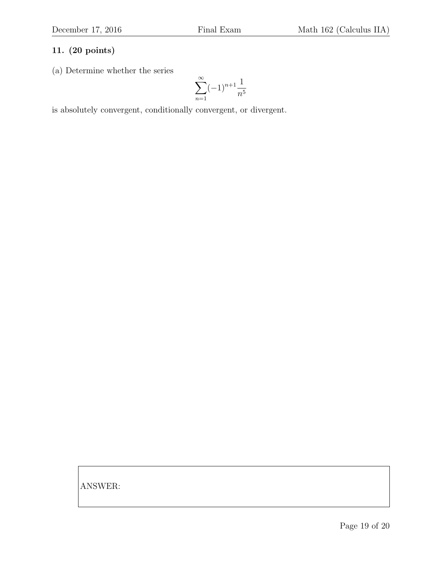(a) Determine whether the series

$$
\sum_{n=1}^{\infty} (-1)^{n+1} \frac{1}{n^5}
$$

is absolutely convergent, conditionally convergent, or divergent.